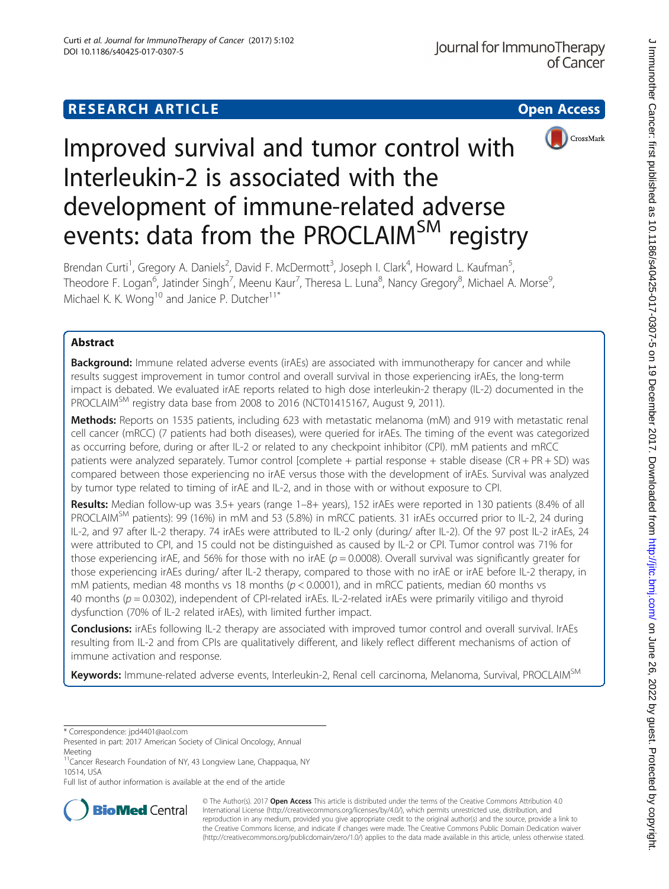## **RESEARCH ARTICLE Example 2014 12:30 The Contract of Contract ACCESS**



# Improved survival and tumor control with Interleukin-2 is associated with the development of immune-related adverse events: data from the PROCLAIM<sup>SM</sup> registry

Brendan Curti<sup>1</sup>, Gregory A. Daniels<sup>2</sup>, David F. McDermott<sup>3</sup>, Joseph I. Clark<sup>4</sup>, Howard L. Kaufman<sup>5</sup> , Theodore F. Logan<sup>6</sup>, Jatinder Singh<sup>7</sup>, Meenu Kaur<sup>7</sup>, Theresa L. Luna<sup>8</sup>, Nancy Gregory<sup>8</sup>, Michael A. Morse<sup>9</sup> , Michael K. K. Wong<sup>10</sup> and Janice P. Dutcher<sup>11\*</sup>

## Abstract

**Background:** Immune related adverse events (irAEs) are associated with immunotherapy for cancer and while results suggest improvement in tumor control and overall survival in those experiencing irAEs, the long-term impact is debated. We evaluated irAE reports related to high dose interleukin-2 therapy (IL-2) documented in the PROCLAIM<sup>SM</sup> registry data base from 2008 to 2016 (NCT01415167, August 9, 2011).

Methods: Reports on 1535 patients, including 623 with metastatic melanoma (mM) and 919 with metastatic renal cell cancer (mRCC) (7 patients had both diseases), were queried for irAEs. The timing of the event was categorized as occurring before, during or after IL-2 or related to any checkpoint inhibitor (CPI). mM patients and mRCC patients were analyzed separately. Tumor control [complete + partial response + stable disease (CR + PR + SD) was compared between those experiencing no irAE versus those with the development of irAEs. Survival was analyzed by tumor type related to timing of irAE and IL-2, and in those with or without exposure to CPI.

Results: Median follow-up was 3.5+ years (range 1–8+ years), 152 irAEs were reported in 130 patients (8.4% of all PROCLAIM<sup>SM</sup> patients): 99 (16%) in mM and 53 (5.8%) in mRCC patients. 31 irAEs occurred prior to IL-2, 24 during IL-2, and 97 after IL-2 therapy. 74 irAEs were attributed to IL-2 only (during/ after IL-2). Of the 97 post IL-2 irAEs, 24 were attributed to CPI, and 15 could not be distinguished as caused by IL-2 or CPI. Tumor control was 71% for those experiencing irAE, and 56% for those with no irAE ( $p = 0.0008$ ). Overall survival was significantly greater for those experiencing irAEs during/ after IL-2 therapy, compared to those with no irAE or irAE before IL-2 therapy, in mM patients, median 48 months vs 18 months ( $p < 0.0001$ ), and in mRCC patients, median 60 months vs 40 months ( $p = 0.0302$ ), independent of CPI-related irAEs. IL-2-related irAEs were primarily vitiligo and thyroid dysfunction (70% of IL-2 related irAEs), with limited further impact.

Conclusions: irAEs following IL-2 therapy are associated with improved tumor control and overall survival. IrAEs resulting from IL-2 and from CPIs are qualitatively different, and likely reflect different mechanisms of action of immune activation and response.

Keywords: Immune-related adverse events, Interleukin-2, Renal cell carcinoma, Melanoma, Survival, PROCLAIM<sup>SM</sup>

Full list of author information is available at the end of the article



© The Author(s). 2017 **Open Access** This article is distributed under the terms of the Creative Commons Attribution 4.0 International License [\(http://creativecommons.org/licenses/by/4.0/](http://creativecommons.org/licenses/by/4.0/)), which permits unrestricted use, distribution, and reproduction in any medium, provided you give appropriate credit to the original author(s) and the source, provide a link to the Creative Commons license, and indicate if changes were made. The Creative Commons Public Domain Dedication waiver [\(http://creativecommons.org/publicdomain/zero/1.0/](http://creativecommons.org/publicdomain/zero/1.0/)) applies to the data made available in this article, unless otherwise stated.

<sup>\*</sup> Correspondence: [jpd4401@aol.com](mailto:jpd4401@aol.com)

Presented in part: 2017 American Society of Clinical Oncology, Annual Meeting

<sup>&</sup>lt;sup>11</sup>Cancer Research Foundation of NY, 43 Longview Lane, Chappaqua, NY 10514, USA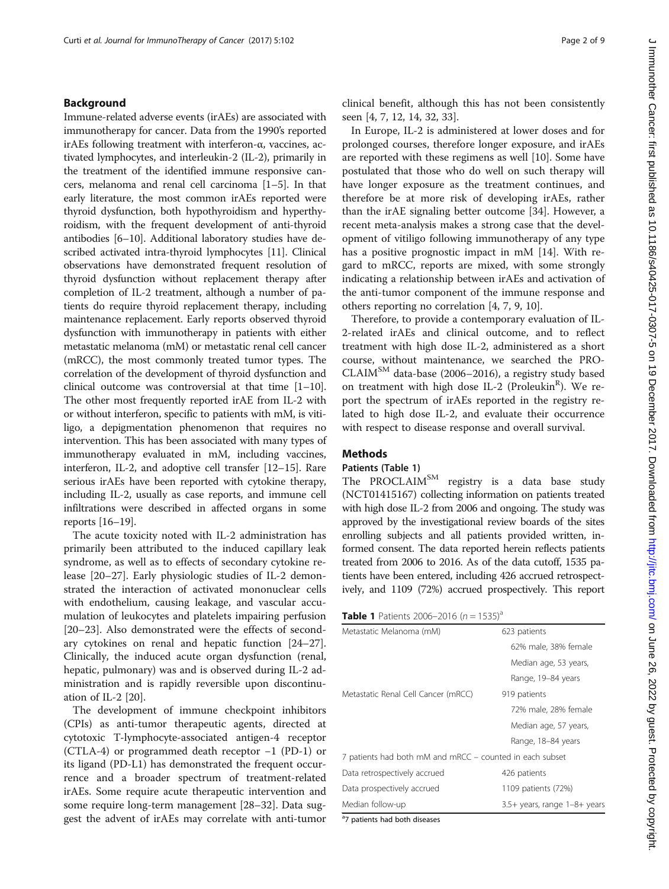## Background

Immune-related adverse events (irAEs) are associated with immunotherapy for cancer. Data from the 1990's reported irAEs following treatment with interferon-α, vaccines, activated lymphocytes, and interleukin-2 (IL-2), primarily in the treatment of the identified immune responsive cancers, melanoma and renal cell carcinoma [[1](#page-7-0)–[5](#page-7-0)]. In that early literature, the most common irAEs reported were thyroid dysfunction, both hypothyroidism and hyperthyroidism, with the frequent development of anti-thyroid antibodies [\[6](#page-7-0)–[10\]](#page-7-0). Additional laboratory studies have described activated intra-thyroid lymphocytes [\[11\]](#page-7-0). Clinical observations have demonstrated frequent resolution of thyroid dysfunction without replacement therapy after completion of IL-2 treatment, although a number of patients do require thyroid replacement therapy, including maintenance replacement. Early reports observed thyroid dysfunction with immunotherapy in patients with either metastatic melanoma (mM) or metastatic renal cell cancer (mRCC), the most commonly treated tumor types. The correlation of the development of thyroid dysfunction and clinical outcome was controversial at that time [\[1](#page-7-0)–[10](#page-7-0)]. The other most frequently reported irAE from IL-2 with or without interferon, specific to patients with mM, is vitiligo, a depigmentation phenomenon that requires no intervention. This has been associated with many types of immunotherapy evaluated in mM, including vaccines, interferon, IL-2, and adoptive cell transfer [[12](#page-7-0)–[15\]](#page-7-0). Rare serious irAEs have been reported with cytokine therapy, including IL-2, usually as case reports, and immune cell infiltrations were described in affected organs in some reports [\[16](#page-7-0)–[19](#page-7-0)].

The acute toxicity noted with IL-2 administration has primarily been attributed to the induced capillary leak syndrome, as well as to effects of secondary cytokine release [[20](#page-7-0)–[27](#page-7-0)]. Early physiologic studies of IL-2 demonstrated the interaction of activated mononuclear cells with endothelium, causing leakage, and vascular accumulation of leukocytes and platelets impairing perfusion [[20](#page-7-0)–[23](#page-7-0)]. Also demonstrated were the effects of secondary cytokines on renal and hepatic function [[24](#page-7-0)–[27](#page-7-0)]. Clinically, the induced acute organ dysfunction (renal, hepatic, pulmonary) was and is observed during IL-2 administration and is rapidly reversible upon discontinuation of IL-2 [[20](#page-7-0)].

The development of immune checkpoint inhibitors (CPIs) as anti-tumor therapeutic agents, directed at cytotoxic T-lymphocyte-associated antigen-4 receptor (CTLA-4) or programmed death receptor −1 (PD-1) or its ligand (PD-L1) has demonstrated the frequent occurrence and a broader spectrum of treatment-related irAEs. Some require acute therapeutic intervention and some require long-term management [[28](#page-7-0)–[32](#page-7-0)]. Data suggest the advent of irAEs may correlate with anti-tumor clinical benefit, although this has not been consistently seen [[4, 7, 12, 14, 32](#page-7-0), [33](#page-8-0)].

In Europe, IL-2 is administered at lower doses and for prolonged courses, therefore longer exposure, and irAEs are reported with these regimens as well [\[10](#page-7-0)]. Some have postulated that those who do well on such therapy will have longer exposure as the treatment continues, and therefore be at more risk of developing irAEs, rather than the irAE signaling better outcome [\[34\]](#page-8-0). However, a recent meta-analysis makes a strong case that the development of vitiligo following immunotherapy of any type has a positive prognostic impact in mM [[14](#page-7-0)]. With regard to mRCC, reports are mixed, with some strongly indicating a relationship between irAEs and activation of the anti-tumor component of the immune response and others reporting no correlation [\[4, 7, 9, 10\]](#page-7-0).

Therefore, to provide a contemporary evaluation of IL-2-related irAEs and clinical outcome, and to reflect treatment with high dose IL-2, administered as a short course, without maintenance, we searched the PRO-CLAIM<sup>SM</sup> data-base (2006–2016), a registry study based on treatment with high dose IL-2 (Proleukin<sup>R</sup>). We report the spectrum of irAEs reported in the registry related to high dose IL-2, and evaluate their occurrence with respect to disease response and overall survival.

## **Methods**

## Patients (Table 1)

The PROCLAIM<sup>SM</sup> registry is a data base study (NCT01415167) collecting information on patients treated with high dose IL-2 from 2006 and ongoing. The study was approved by the investigational review boards of the sites enrolling subjects and all patients provided written, informed consent. The data reported herein reflects patients treated from 2006 to 2016. As of the data cutoff, 1535 patients have been entered, including 426 accrued retrospectively, and 1109 (72%) accrued prospectively. This report

| Metastatic Melanoma (mM)                                 | 623 patients                 |  |
|----------------------------------------------------------|------------------------------|--|
|                                                          | 62% male, 38% female         |  |
|                                                          | Median age, 53 years,        |  |
|                                                          | Range, 19–84 years           |  |
| Metastatic Renal Cell Cancer (mRCC)                      | 919 patients                 |  |
|                                                          | 72% male, 28% female         |  |
|                                                          | Median age, 57 years,        |  |
|                                                          | Range, 18–84 years           |  |
| 7 patients had both mM and mRCC - counted in each subset |                              |  |
| Data retrospectively accrued                             | 426 patients                 |  |
| Data prospectively accrued                               | 1109 patients (72%)          |  |
| Median follow-up                                         | 3.5+ years, range 1-8+ years |  |

<sup>a</sup>7 patients had both diseases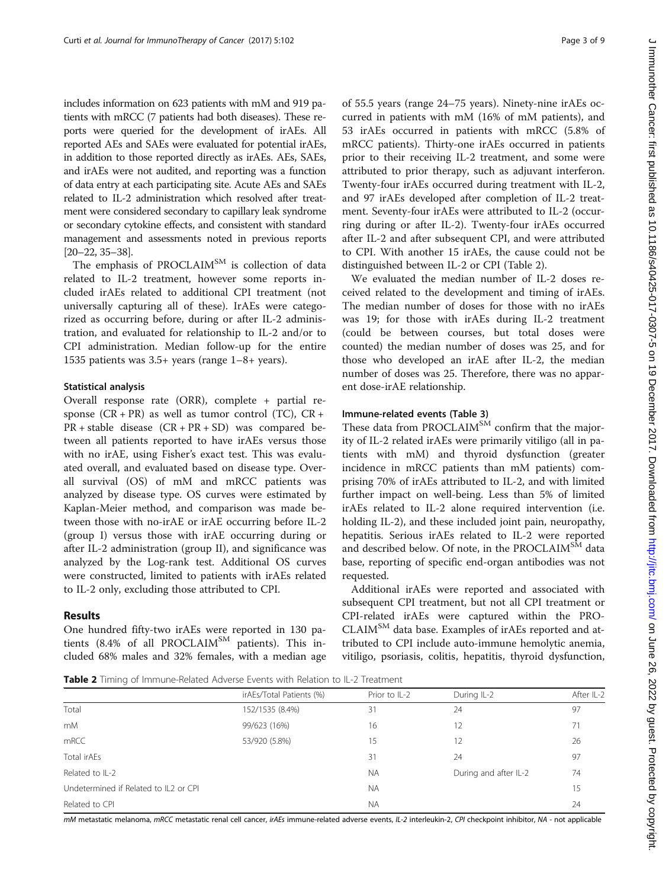includes information on 623 patients with mM and 919 patients with mRCC (7 patients had both diseases). These reports were queried for the development of irAEs. All reported AEs and SAEs were evaluated for potential irAEs, in addition to those reported directly as irAEs. AEs, SAEs, and irAEs were not audited, and reporting was a function of data entry at each participating site. Acute AEs and SAEs related to IL-2 administration which resolved after treatment were considered secondary to capillary leak syndrome or secondary cytokine effects, and consistent with standard management and assessments noted in previous reports [[20](#page-7-0)–[22](#page-7-0), [35](#page-8-0)–[38](#page-8-0)].

The emphasis of PROCLAIM<sup>SM</sup> is collection of data related to IL-2 treatment, however some reports included irAEs related to additional CPI treatment (not universally capturing all of these). IrAEs were categorized as occurring before, during or after IL-2 administration, and evaluated for relationship to IL-2 and/or to CPI administration. Median follow-up for the entire 1535 patients was 3.5+ years (range 1–8+ years).

## Statistical analysis

Overall response rate (ORR), complete + partial response  $(CR + PR)$  as well as tumor control  $(TC)$ ,  $CR +$ PR + stable disease (CR + PR + SD) was compared between all patients reported to have irAEs versus those with no irAE, using Fisher's exact test. This was evaluated overall, and evaluated based on disease type. Overall survival (OS) of mM and mRCC patients was analyzed by disease type. OS curves were estimated by Kaplan-Meier method, and comparison was made between those with no-irAE or irAE occurring before IL-2 (group I) versus those with irAE occurring during or after IL-2 administration (group II), and significance was analyzed by the Log-rank test. Additional OS curves were constructed, limited to patients with irAEs related to IL-2 only, excluding those attributed to CPI.

## Results

One hundred fifty-two irAEs were reported in 130 patients (8.4% of all PROCLAIM<sup>SM</sup> patients). This included 68% males and 32% females, with a median age of 55.5 years (range 24–75 years). Ninety-nine irAEs occurred in patients with mM (16% of mM patients), and 53 irAEs occurred in patients with mRCC (5.8% of mRCC patients). Thirty-one irAEs occurred in patients prior to their receiving IL-2 treatment, and some were attributed to prior therapy, such as adjuvant interferon. Twenty-four irAEs occurred during treatment with IL-2, and 97 irAEs developed after completion of IL-2 treatment. Seventy-four irAEs were attributed to IL-2 (occurring during or after IL-2). Twenty-four irAEs occurred after IL-2 and after subsequent CPI, and were attributed to CPI. With another 15 irAEs, the cause could not be distinguished between IL-2 or CPI (Table 2).

We evaluated the median number of IL-2 doses received related to the development and timing of irAEs. The median number of doses for those with no irAEs was 19; for those with irAEs during IL-2 treatment (could be between courses, but total doses were counted) the median number of doses was 25, and for those who developed an irAE after IL-2, the median number of doses was 25. Therefore, there was no apparent dose-irAE relationship.

### Immune-related events (Table [3](#page-3-0))

These data from PROCLAIM<sup>SM</sup> confirm that the majority of IL-2 related irAEs were primarily vitiligo (all in patients with mM) and thyroid dysfunction (greater incidence in mRCC patients than mM patients) comprising 70% of irAEs attributed to IL-2, and with limited further impact on well-being. Less than 5% of limited irAEs related to IL-2 alone required intervention (i.e. holding IL-2), and these included joint pain, neuropathy, hepatitis. Serious irAEs related to IL-2 were reported and described below. Of note, in the PROCLAIM<sup>SM</sup> data base, reporting of specific end-organ antibodies was not requested.

Additional irAEs were reported and associated with subsequent CPI treatment, but not all CPI treatment or CPI-related irAEs were captured within the PRO-CLAIMSM data base. Examples of irAEs reported and attributed to CPI include auto-immune hemolytic anemia, vitiligo, psoriasis, colitis, hepatitis, thyroid dysfunction,

**Table 2** Timing of Immune-Related Adverse Events with Relation to IL-2 Treatment

|                                       | irAEs/Total Patients (%) | Prior to IL-2 | During IL-2           | After IL-2 |  |
|---------------------------------------|--------------------------|---------------|-----------------------|------------|--|
| Total                                 | 152/1535 (8.4%)          | 31            | 24                    | 97         |  |
| m <sub>M</sub>                        | 99/623 (16%)             | 16            | 12                    | 71         |  |
| mRCC                                  | 53/920 (5.8%)            | 15            | 12                    | 26         |  |
| Total irAEs                           |                          | 31            | 24                    | 97         |  |
| Related to IL-2                       |                          | <b>NA</b>     | During and after IL-2 | 74         |  |
| Undetermined if Related to IL2 or CPI |                          | <b>NA</b>     |                       | 15         |  |
| Related to CPI                        |                          | <b>NA</b>     |                       | 24         |  |

mM metastatic melanoma, mRCC metastatic renal cell cancer, irAEs immune-related adverse events, IL-2 interleukin-2, CPI checkpoint inhibitor, NA - not applicable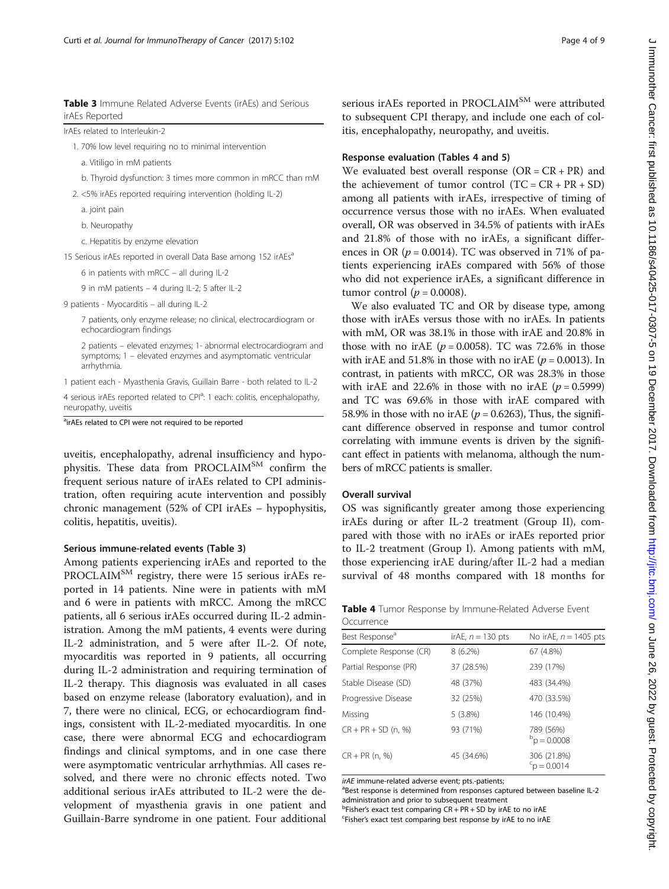<span id="page-3-0"></span>Table 3 Immune Related Adverse Events (irAEs) and Serious irAEs Reported

| IrAEs related to Interleukin-2 |  |
|--------------------------------|--|
|--------------------------------|--|

1. 70% low level requiring no to minimal intervention

a. Vitiligo in mM patients

b. Thyroid dysfunction: 3 times more common in mRCC than mM

2. <5% irAEs reported requiring intervention (holding IL-2)

- a. joint pain
- b. Neuropathy

c. Hepatitis by enzyme elevation

15 Serious irAEs reported in overall Data Base among 152 irAEs<sup>a</sup>

6 in patients with mRCC – all during IL-2

9 in mM patients – 4 during IL-2; 5 after IL-2

9 patients - Myocarditis – all during IL-2

7 patients, only enzyme release; no clinical, electrocardiogram or echocardiogram findings

2 patients – elevated enzymes; 1- abnormal electrocardiogram and symptoms; 1 – elevated enzymes and asymptomatic ventricular arrhythmia.

1 patient each - Myasthenia Gravis, Guillain Barre - both related to IL-2

4 serious irAEs reported related to CPI<sup>a</sup>: 1 each: colitis, encephalopathy, neuropathy, uveitis

<sup>a</sup>irAEs related to CPI were not required to be reported

uveitis, encephalopathy, adrenal insufficiency and hypophysitis. These data from PROCLAIM<sup>SM</sup> confirm the frequent serious nature of irAEs related to CPI administration, often requiring acute intervention and possibly chronic management (52% of CPI irAEs – hypophysitis, colitis, hepatitis, uveitis).

## Serious immune-related events (Table 3)

Among patients experiencing irAEs and reported to the PROCLAIM<sup>SM</sup> registry, there were 15 serious irAEs reported in 14 patients. Nine were in patients with mM and 6 were in patients with mRCC. Among the mRCC patients, all 6 serious irAEs occurred during IL-2 administration. Among the mM patients, 4 events were during IL-2 administration, and 5 were after IL-2. Of note, myocarditis was reported in 9 patients, all occurring during IL-2 administration and requiring termination of IL-2 therapy. This diagnosis was evaluated in all cases based on enzyme release (laboratory evaluation), and in 7, there were no clinical, ECG, or echocardiogram findings, consistent with IL-2-mediated myocarditis. In one case, there were abnormal ECG and echocardiogram findings and clinical symptoms, and in one case there were asymptomatic ventricular arrhythmias. All cases resolved, and there were no chronic effects noted. Two additional serious irAEs attributed to IL-2 were the development of myasthenia gravis in one patient and Guillain-Barre syndrome in one patient. Four additional serious irAEs reported in PROCLAIM<sup>SM</sup> were attributed to subsequent CPI therapy, and include one each of colitis, encephalopathy, neuropathy, and uveitis.

## Response evaluation (Tables 4 and [5\)](#page-4-0)

We evaluated best overall response  $(OR = CR + PR)$  and the achievement of tumor control  $(TC = CR + PR + SD)$ among all patients with irAEs, irrespective of timing of occurrence versus those with no irAEs. When evaluated overall, OR was observed in 34.5% of patients with irAEs and 21.8% of those with no irAEs, a significant differences in OR ( $p = 0.0014$ ). TC was observed in 71% of patients experiencing irAEs compared with 56% of those who did not experience irAEs, a significant difference in tumor control ( $p = 0.0008$ ).

We also evaluated TC and OR by disease type, among those with irAEs versus those with no irAEs. In patients with mM, OR was 38.1% in those with irAE and 20.8% in those with no irAE ( $p = 0.0058$ ). TC was 72.6% in those with irAE and 51.8% in those with no irAE ( $p = 0.0013$ ). In contrast, in patients with mRCC, OR was 28.3% in those with irAE and 22.6% in those with no irAE  $(p = 0.5999)$ and TC was 69.6% in those with irAE compared with 58.9% in those with no irAE ( $p = 0.6263$ ), Thus, the significant difference observed in response and tumor control correlating with immune events is driven by the significant effect in patients with melanoma, although the numbers of mRCC patients is smaller.

#### Overall survival

OS was significantly greater among those experiencing irAEs during or after IL-2 treatment (Group II), compared with those with no irAEs or irAEs reported prior to IL-2 treatment (Group I). Among patients with mM, those experiencing irAE during/after IL-2 had a median survival of 48 months compared with 18 months for

Table 4 Tumor Response by Immune-Related Adverse Event **Occurrence** 

| Best Response <sup>a</sup> | irAE, $n = 130$ pts | No irAE, $n = 1405$ pts              |
|----------------------------|---------------------|--------------------------------------|
| Complete Response (CR)     | $8(6.2\%)$          | 67 (4.8%)                            |
| Partial Response (PR)      | 37 (28.5%)          | 239 (17%)                            |
| Stable Disease (SD)        | 48 (37%)            | 483 (34.4%)                          |
| Progressive Disease        | 32 (25%)            | 470 (33.5%)                          |
| Missing                    | 5(3.8%)             | 146 (10.4%)                          |
| $CR + PR + SD$ (n, %)      | 93 (71%)            | 789 (56%)<br>$P_{\text{D}} = 0.0008$ |
| $CR + PR(n, %)$            | 45 (34.6%)          | 306 (21.8%)<br>$\mathrm{p} = 0.0014$ |

irAE immune-related adverse event; pts.-patients;

<sup>a</sup>Best response is determined from responses captured between baseline IL-2 administration and prior to subsequent treatment

<sup>b</sup>Fisher's exact test comparing  $CR + PR + SD$  by irAE to no irAE<br><sup>CEIsher's exact test comparing best response by irAE to no irA</sup> Fisher's exact test comparing best response by irAE to no irAE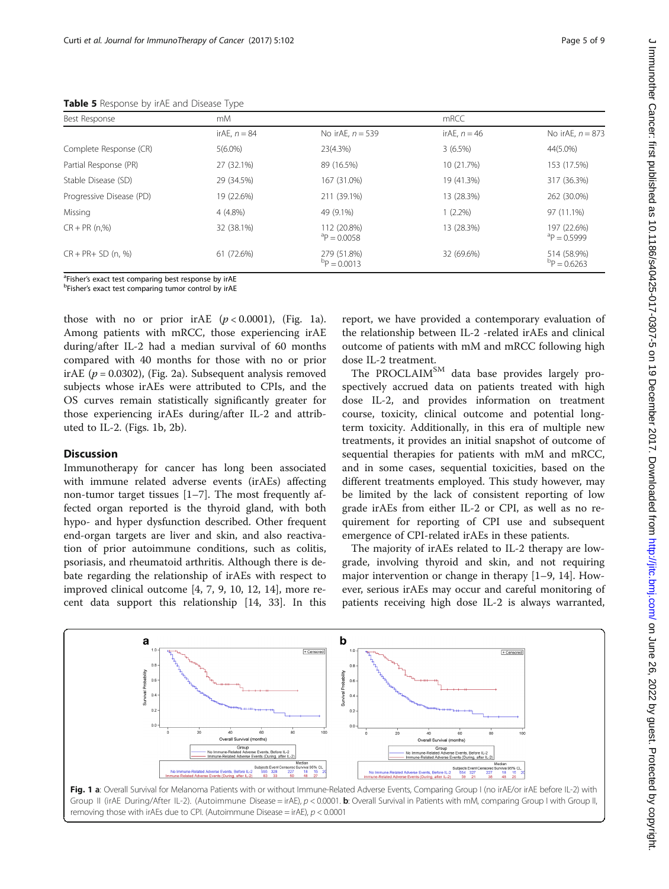| .                        |                |                             |                |                             |  |  |
|--------------------------|----------------|-----------------------------|----------------|-----------------------------|--|--|
| Best Response            | mM             |                             | mRCC           |                             |  |  |
|                          | irAE. $n = 84$ | No irAE, $n = 539$          | irAE, $n = 46$ | No irAE, $n = 873$          |  |  |
| Complete Response (CR)   | $5(6.0\%)$     | 23(4.3%)                    | 3(6.5%)        | 44(5.0%)                    |  |  |
| Partial Response (PR)    | 27 (32.1%)     | 89 (16.5%)                  | 10 (21.7%)     | 153 (17.5%)                 |  |  |
| Stable Disease (SD)      | 29 (34.5%)     | 167 (31.0%)                 | 19 (41.3%)     | 317 (36.3%)                 |  |  |
| Progressive Disease (PD) | 19 (22.6%)     | 211 (39.1%)                 | 13 (28.3%)     | 262 (30.0%)                 |  |  |
| Missing                  | 4 (4.8%)       | 49 (9.1%)                   | $1(2.2\%)$     | 97 (11.1%)                  |  |  |
| $CR + PR(n.%)$           | 32 (38.1%)     | 112 (20.8%)<br>$P = 0.0058$ | 13 (28.3%)     | 197 (22.6%)<br>$P = 0.5999$ |  |  |
| $CR + PR + SD (n. %)$    | 61 (72.6%)     | 279 (51.8%)<br>$P = 0.0013$ | 32 (69.6%)     | 514 (58.9%)<br>$P = 0.6263$ |  |  |

<span id="page-4-0"></span>Table 5 Response by irAE and Disease Type

<sup>a</sup>Fisher's exact test comparing best response by irAE<br><sup>b</sup>Fisher's exact test comparing tumer control by irAE

<sup>b</sup>Fisher's exact test comparing tumor control by irAE

those with no or prior irAE  $(p < 0.0001)$ , (Fig. 1a). Among patients with mRCC, those experiencing irAE during/after IL-2 had a median survival of 60 months compared with 40 months for those with no or prior irAE ( $p = 0.0302$ ), (Fig. [2a\)](#page-5-0). Subsequent analysis removed subjects whose irAEs were attributed to CPIs, and the OS curves remain statistically significantly greater for those experiencing irAEs during/after IL-2 and attributed to IL-2. (Figs. 1b, [2b\)](#page-5-0).

## **Discussion**

Immunotherapy for cancer has long been associated with immune related adverse events (irAEs) affecting non-tumor target tissues [\[1](#page-7-0)–[7\]](#page-7-0). The most frequently affected organ reported is the thyroid gland, with both hypo- and hyper dysfunction described. Other frequent end-organ targets are liver and skin, and also reactivation of prior autoimmune conditions, such as colitis, psoriasis, and rheumatoid arthritis. Although there is debate regarding the relationship of irAEs with respect to improved clinical outcome [\[4](#page-7-0), [7, 9](#page-7-0), [10, 12, 14](#page-7-0)], more recent data support this relationship [[14,](#page-7-0) [33\]](#page-8-0). In this report, we have provided a contemporary evaluation of the relationship between IL-2 -related irAEs and clinical outcome of patients with mM and mRCC following high dose IL-2 treatment.

The PROCLAIM<sup>SM</sup> data base provides largely prospectively accrued data on patients treated with high dose IL-2, and provides information on treatment course, toxicity, clinical outcome and potential longterm toxicity. Additionally, in this era of multiple new treatments, it provides an initial snapshot of outcome of sequential therapies for patients with mM and mRCC, and in some cases, sequential toxicities, based on the different treatments employed. This study however, may be limited by the lack of consistent reporting of low grade irAEs from either IL-2 or CPI, as well as no requirement for reporting of CPI use and subsequent emergence of CPI-related irAEs in these patients.

The majority of irAEs related to IL-2 therapy are lowgrade, involving thyroid and skin, and not requiring major intervention or change in therapy [\[1](#page-7-0)–[9](#page-7-0), [14](#page-7-0)]. However, serious irAEs may occur and careful monitoring of patients receiving high dose IL-2 is always warranted,

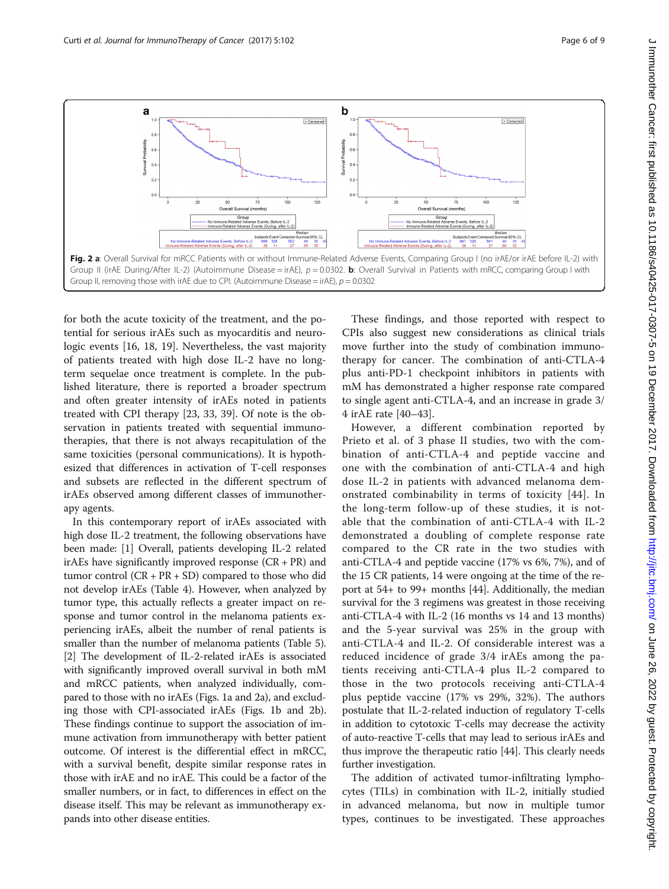<span id="page-5-0"></span>

for both the acute toxicity of the treatment, and the potential for serious irAEs such as myocarditis and neurologic events [\[16](#page-7-0), [18, 19](#page-7-0)]. Nevertheless, the vast majority of patients treated with high dose IL-2 have no longterm sequelae once treatment is complete. In the published literature, there is reported a broader spectrum and often greater intensity of irAEs noted in patients treated with CPI therapy [[23,](#page-7-0) [33](#page-8-0), [39](#page-8-0)]. Of note is the observation in patients treated with sequential immunotherapies, that there is not always recapitulation of the same toxicities (personal communications). It is hypothesized that differences in activation of T-cell responses and subsets are reflected in the different spectrum of irAEs observed among different classes of immunotherapy agents.

In this contemporary report of irAEs associated with high dose IL-2 treatment, the following observations have been made: [\[1](#page-7-0)] Overall, patients developing IL-2 related irAEs have significantly improved response  $(CR + PR)$  and tumor control (CR + PR + SD) compared to those who did not develop irAEs (Table [4\)](#page-3-0). However, when analyzed by tumor type, this actually reflects a greater impact on response and tumor control in the melanoma patients experiencing irAEs, albeit the number of renal patients is smaller than the number of melanoma patients (Table [5](#page-4-0)). [[2\]](#page-7-0) The development of IL-2-related irAEs is associated with significantly improved overall survival in both mM and mRCC patients, when analyzed individually, compared to those with no irAEs (Figs. [1a](#page-4-0) and 2a), and excluding those with CPI-associated irAEs (Figs. [1b](#page-4-0) and 2b). These findings continue to support the association of immune activation from immunotherapy with better patient outcome. Of interest is the differential effect in mRCC, with a survival benefit, despite similar response rates in those with irAE and no irAE. This could be a factor of the smaller numbers, or in fact, to differences in effect on the disease itself. This may be relevant as immunotherapy expands into other disease entities.

These findings, and those reported with respect to CPIs also suggest new considerations as clinical trials move further into the study of combination immunotherapy for cancer. The combination of anti-CTLA-4 plus anti-PD-1 checkpoint inhibitors in patients with mM has demonstrated a higher response rate compared to single agent anti-CTLA-4, and an increase in grade 3/ 4 irAE rate [[40](#page-8-0)–[43\]](#page-8-0).

However, a different combination reported by Prieto et al. of 3 phase II studies, two with the combination of anti-CTLA-4 and peptide vaccine and one with the combination of anti-CTLA-4 and high dose IL-2 in patients with advanced melanoma demonstrated combinability in terms of toxicity [[44](#page-8-0)]. In the long-term follow-up of these studies, it is notable that the combination of anti-CTLA-4 with IL-2 demonstrated a doubling of complete response rate compared to the CR rate in the two studies with anti-CTLA-4 and peptide vaccine (17% vs 6%, 7%), and of the 15 CR patients, 14 were ongoing at the time of the report at 54+ to 99+ months [[44](#page-8-0)]. Additionally, the median survival for the 3 regimens was greatest in those receiving anti-CTLA-4 with IL-2 (16 months vs 14 and 13 months) and the 5-year survival was 25% in the group with anti-CTLA-4 and IL-2. Of considerable interest was a reduced incidence of grade 3/4 irAEs among the patients receiving anti-CTLA-4 plus IL-2 compared to those in the two protocols receiving anti-CTLA-4 plus peptide vaccine (17% vs 29%, 32%). The authors postulate that IL-2-related induction of regulatory T-cells in addition to cytotoxic T-cells may decrease the activity of auto-reactive T-cells that may lead to serious irAEs and thus improve the therapeutic ratio [[44](#page-8-0)]. This clearly needs further investigation.

The addition of activated tumor-infiltrating lymphocytes (TILs) in combination with IL-2, initially studied in advanced melanoma, but now in multiple tumor types, continues to be investigated. These approaches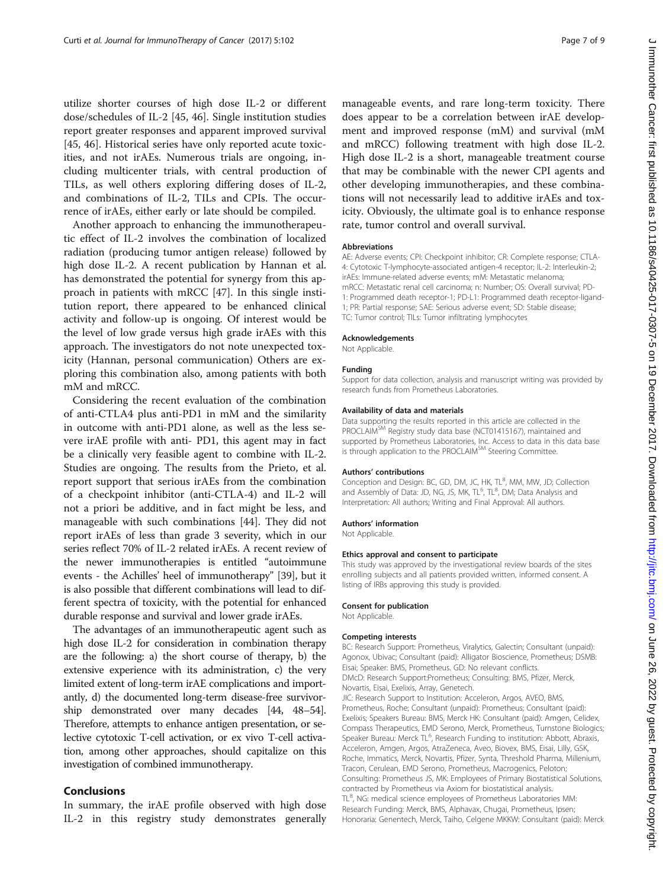utilize shorter courses of high dose IL-2 or different dose/schedules of IL-2 [[45, 46\]](#page-8-0). Single institution studies report greater responses and apparent improved survival [[45, 46\]](#page-8-0). Historical series have only reported acute toxicities, and not irAEs. Numerous trials are ongoing, including multicenter trials, with central production of TILs, as well others exploring differing doses of IL-2, and combinations of IL-2, TILs and CPIs. The occurrence of irAEs, either early or late should be compiled.

Another approach to enhancing the immunotherapeutic effect of IL-2 involves the combination of localized radiation (producing tumor antigen release) followed by high dose IL-2. A recent publication by Hannan et al. has demonstrated the potential for synergy from this approach in patients with mRCC [\[47](#page-8-0)]. In this single institution report, there appeared to be enhanced clinical activity and follow-up is ongoing. Of interest would be the level of low grade versus high grade irAEs with this approach. The investigators do not note unexpected toxicity (Hannan, personal communication) Others are exploring this combination also, among patients with both mM and mRCC.

Considering the recent evaluation of the combination of anti-CTLA4 plus anti-PD1 in mM and the similarity in outcome with anti-PD1 alone, as well as the less severe irAE profile with anti- PD1, this agent may in fact be a clinically very feasible agent to combine with IL-2. Studies are ongoing. The results from the Prieto, et al. report support that serious irAEs from the combination of a checkpoint inhibitor (anti-CTLA-4) and IL-2 will not a priori be additive, and in fact might be less, and manageable with such combinations [[44\]](#page-8-0). They did not report irAEs of less than grade 3 severity, which in our series reflect 70% of IL-2 related irAEs. A recent review of the newer immunotherapies is entitled "autoimmune events - the Achilles' heel of immunotherapy" [\[39\]](#page-8-0), but it is also possible that different combinations will lead to different spectra of toxicity, with the potential for enhanced durable response and survival and lower grade irAEs.

The advantages of an immunotherapeutic agent such as high dose IL-2 for consideration in combination therapy are the following: a) the short course of therapy, b) the extensive experience with its administration, c) the very limited extent of long-term irAE complications and importantly, d) the documented long-term disease-free survivorship demonstrated over many decades [\[44](#page-8-0), [48](#page-8-0)–[54](#page-8-0)]. Therefore, attempts to enhance antigen presentation, or selective cytotoxic T-cell activation, or ex vivo T-cell activation, among other approaches, should capitalize on this investigation of combined immunotherapy.

## Conclusions

In summary, the irAE profile observed with high dose IL-2 in this registry study demonstrates generally

manageable events, and rare long-term toxicity. There does appear to be a correlation between irAE development and improved response (mM) and survival (mM and mRCC) following treatment with high dose IL-2. High dose IL-2 is a short, manageable treatment course that may be combinable with the newer CPI agents and other developing immunotherapies, and these combinations will not necessarily lead to additive irAEs and toxicity. Obviously, the ultimate goal is to enhance response rate, tumor control and overall survival.

#### Abbreviations

AE: Adverse events; CPI: Checkpoint inhibitor; CR: Complete response; CTLA-4: Cytotoxic T-lymphocyte-associated antigen-4 receptor; IL-2: Interleukin-2; irAEs: Immune-related adverse events; mM: Metastatic melanoma; mRCC: Metastatic renal cell carcinoma; n: Number; OS: Overall survival; PD-1: Programmed death receptor-1; PD-L1: Programmed death receptor-ligand-1; PR: Partial response; SAE: Serious adverse event; SD: Stable disease; TC: Tumor control; TILs: Tumor infiltrating lymphocytes

#### Acknowledgements

Not Applicable.

#### Funding

Support for data collection, analysis and manuscript writing was provided by research funds from Prometheus Laboratories.

#### Availability of data and materials

Data supporting the results reported in this article are collected in the PROCLAIM<sup>SM</sup> Registry study data base (NCT01415167), maintained and supported by Prometheus Laboratories, Inc. Access to data in this data base is through application to the PROCLAIM<sup>SM</sup> Steering Committee.

#### Authors' contributions

Conception and Design: BC, GD, DM, JC, HK, TL<sup>8</sup>, MM, MW, JD; Collection and Assembly of Data: JD, NG, JS, MK, TL<sup>6</sup>, TL<sup>8</sup>, DM; Data Analysis and Interpretation: All authors; Writing and Final Approval: All authors.

#### Authors' information

Not Applicable.

#### Ethics approval and consent to participate

This study was approved by the investigational review boards of the sites enrolling subjects and all patients provided written, informed consent. A listing of IRBs approving this study is provided.

#### Consent for publication

Not Applicable.

#### Competing interests

BC: Research Support: Prometheus, Viralytics, Galectin; Consultant (unpaid): Agonox, Ubivac; Consultant (paid): Alligator Bioscience, Prometheus; DSMB: Eisai; Speaker: BMS, Prometheus. GD: No relevant conflicts. DMcD: Research Support:Prometheus; Consulting: BMS, Pfizer, Merck, Novartis, Eisai, Exelixis, Array, Genetech.

JIC: Research Support to Institution: Acceleron, Argos, AVEO, BMS, Prometheus, Roche; Consultant (unpaid): Prometheus; Consultant (paid): Exelixis; Speakers Bureau: BMS, Merck HK: Consultant (paid): Amgen, Celidex, Compass Therapeutics, EMD Serono, Merck, Prometheus, Turnstone Biologics; Speaker Bureau: Merck TL<sup>6</sup>, Research Funding to institution: Abbott, Abraxis Acceleron, Amgen, Argos, AtraZeneca, Aveo, Biovex, BMS, Eisai, Lilly, GSK, Roche, Immatics, Merck, Novartis, Pfizer, Synta, Threshold Pharma, Millenium, Tracon, Cerulean, EMD Serono, Prometheus, Macrogenics, Peloton; Consulting: Prometheus JS, MK: Employees of Primary Biostatistical Solutions, contracted by Prometheus via Axiom for biostatistical analysis. TL<sup>8</sup>, NG: medical science employees of Prometheus Laboratories MM Research Funding: Merck, BMS, Alphavax, Chugai, Prometheus, Ipsen; Honoraria: Genentech, Merck, Taiho, Celgene MKKW: Consultant (paid): Merck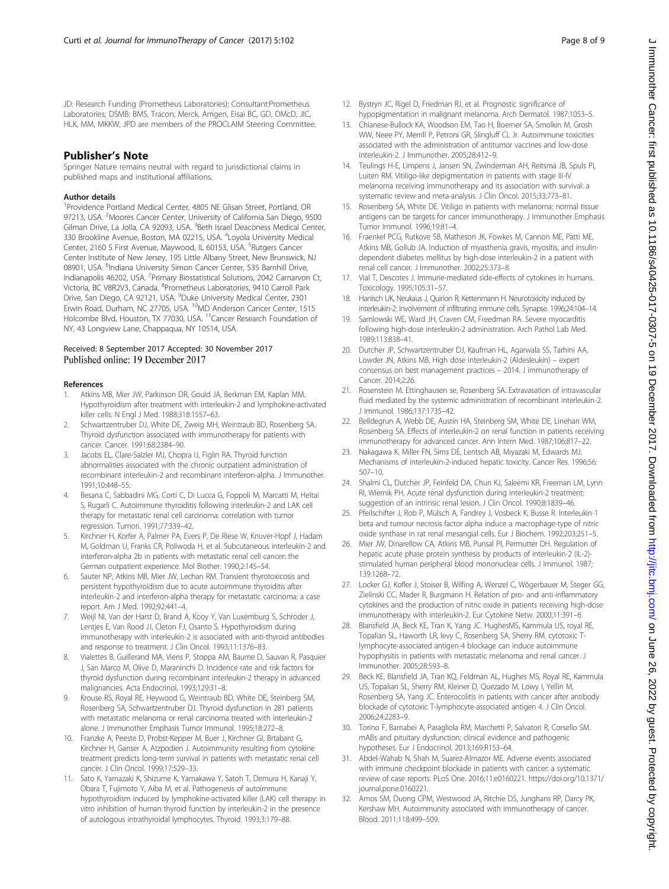<span id="page-7-0"></span>JD: Research Funding (Prometheus Laboratories); Consultant:Prometheus Laboratories; DSMB: BMS, Tracon, Merck, Amgen, Eisai BC, GD, DMcD, JIC, HLK, MM, MKKW, JPD are members of the PROCLAIM Steering Committee.

## Publisher's Note

Springer Nature remains neutral with regard to jurisdictional claims in published maps and institutional affiliations.

#### Author details

<sup>1</sup> Providence Portland Medical Center, 4805 NE Glisan Street, Portland, OR 97213, USA. <sup>2</sup>Moores Cancer Center, University of California San Diego, 9500 Gilman Drive, La Jolla, CA 92093, USA. <sup>3</sup>Beth Israel Deaconess Medical Center, 330 Brookline Avenue, Boston, MA 02215, USA. <sup>4</sup>Loyola University Medical Center, 2160 S First Avenue, Maywood, IL 60153, USA. <sup>5</sup>Rutgers Cancer Center Institute of New Jersey, 195 Little Albany Street, New Brunswick, NJ 08901, USA. <sup>6</sup>Indiana University Simon Cancer Center, 535 Barnhill Drive, Indianapolis 46202, USA. <sup>7</sup> Primary Biostatistical Solutions, 2042 Carnarvon Ct, Victoria, BC V8R2V3, Canada. <sup>8</sup>Prometheus Laboratories, 9410 Carroll Park Drive, San Diego, CA 92121, USA. <sup>9</sup>Duke University Medical Center, 2301 Erwin Road, Durham, NC 27705, USA. <sup>10</sup>MD Anderson Cancer Center, 1515 Holcombe Blvd, Houston, TX 77030, USA. <sup>11</sup>Cancer Research Foundation of NY, 43 Longview Lane, Chappaqua, NY 10514, USA.

#### Received: 8 September 2017 Accepted: 30 November 2017 Published online: 19 December 2017

#### References

- 1. Atkins MB, Mier JW, Parkinson DR, Gould JA, Berkman EM, Kaplan MM. Hypothyroidism after treatment with interleukin-2 and lymphokine-activated killer cells. N Engl J Med. 1988;318:1557–63.
- 2. Schwartzentruber DJ, White DE, Zweig MH, Weintraub BD, Rosenberg SA. Thyroid dysfunction associated with immunotherapy for patients with cancer. Cancer. 1991;68:2384–90.
- 3. Jacobs EL, Clare-Salzler MJ, Chopra IJ, Figlin RA. Thyroid function abnormalities associated with the chronic outpatient administration of recombinant interleukin-2 and recombinant interferon-alpha. J Immunother. 1991;10:448–55.
- 4. Besana C, Sabbadini MG, Corti C, Di Lucca G, Foppoli M, Marcatti M, Heltai S, Rugarli C. Autoimmune thyroiditis following interleukin-2 and LAK cell therapy for metastatic renal cell carcinoma: correlation with tumor regression. Tumori. 1991;77:339–42.
- 5. Kirchner H, Korfer A, Palmer PA, Evers P, De Riese W, Knuver-Hopf J, Hadam M, Goldman U, Franks CR, Poliwoda H, et al. Subcutaneous interleukin-2 and interferon-alpha 2b in patients with metastatic renal cell cancer: the German outpatient experience. Mol Biother. 1990;2:145–54.
- 6. Sauter NP, Atkins MB, Mier JW, Lechan RM. Transient thyrotoxicosis and persistent hypothyroidism due to acute autoimmune thyroiditis after interleukin-2 and interferon-alpha therapy for metastatic carcinoma: a case report. Am J Med. 1992;92:441–4.
- 7. Weijl NI, Van der Harst D, Brand A, Kooy Y, Van Luxemburg S, Schroder J, Lentjes E, Van Rood JJ, Cleton FJ, Osanto S. Hypothyroidism during immunotherapy with interleukin-2 is associated with anti-thyroid antibodies and response to treatment. J Clin Oncol. 1993;11:1376–83.
- 8. Vialettes B, Guillerand MA, Viens P, Stoppa AM, Baume D, Sauvan R, Pasquier J, San Marco M, Olive D, Maraninchi D. Incidence rate and risk factors for thyroid dysfunction during recombinant interleukin-2 therapy in advanced malignancies. Acta Endocrinol. 1993;129:31–8.
- 9. Krouse RS, Royal RE, Heywood G, Weintraub BD, White DE, Steinberg SM, Rosenberg SA, Schwartzentruber DJ. Thyroid dysfunction in 281 patients with metastatic melanoma or renal carcinoma treated with interleukin-2 alone. J Immunother Emphasis Tumor Immunol. 1995;18:272–8.
- 10. Franzke A, Peeste D, Probst-Kepper M, Buer J, Kirchner GI, Brtabant G, Kirchner H, Ganser A, Atzpodien J. Autoimmunity resulting from cytokine treatment predicts long-term survival in patients with metastatic renal cell cancer. J Clin Oncol. 1999;17:529–33.
- 11. Sato K, Yamazaki K, Shizume K, Yamakawa Y, Satoh T, Demura H, Kanaji Y, Obara T, Fujimoto Y, Aiba M, et al. Pathogenesis of autoimmune hypothyroidism induced by lymphokine-activated killer (LAK) cell therapy: in vitro inhibition of human thyroid function by interleukin-2 in the presence of autologous intrathyroidal lymphocytes. Thyroid. 1993;3:179–88.
- 12. Bystryn JC, Rigel D, Friedman RJ, et al. Prognostic significance of hypopigmentation in malignant melanoma. Arch Dermatol. 1987:1053–5.
- 13. Chianese-Bullock KA, Woodson EM, Tao H, Boerner SA, Smolkin M, Grosh WW, Neee PY, Merrill P, Petroni GR, Slingluff CL Jr. Autoimmune toxicities associated with the administration of antitumor vaccines and low-dose interleukin-2. J Immunother. 2005;28:412–9.
- 14. Teulings H-E, Limpens J, Jansen SN, Zwinderman AH, Reitsma JB, Spuls PI, Luiten RM. Vitiligo-like depigmentation in patients with stage III-IV melanoma receiving immunotherapy and its association with survival: a systematic review and meta-analysis. J Clin Oncol. 2015;33:773–81.
- 15. Rosenberg SA, White DE. Vitiligo in patients with melanoma: normal tissue antigens can be targets for cancer immunotherapy. J Immunother Emphasis Tumor Immunol. 1996;19:81–4.
- 16. Fraenkel PCG, Rutkove SB, Matheson JK, Fowkes M, Cannon ME, Patti ME, Atkins MB, Gollub JA. Induction of myasthenia gravis, myositis, and insulindependent diabetes mellitus by high-dose interleukin-2 in a patient with renal cell cancer. J Immunother. 2002;25:373–8.
- 17. Vial T, Descotes J. Immune-mediated side-effects of cytokines in humans. Toxicology. 1995;105:31–57.
- 18. Hanisch UK, Neukaus J, Quirion R, Kettenmann H. Neurotoxicity induced by interleukin-2: involvement of infiltrating immune cells. Synapse. 1996;24:104–14.
- 19. Samlowski WE, Ward JH, Craven CM, Freedman RA. Severe myocarditis following high-dose interleukin-2 administration. Arch Pathol Lab Med. 1989;113:838–41.
- 20. Dutcher JP, Schwartzentruber DJ, Kaufman HL, Agarwala SS, Tarhini AA, Lowder JN, Atkins MB. High dose interleukin-2 (Aldesleukin) – expert consensus on best management practices – 2014. J immunotherapy of Cancer. 2014;2:26.
- 21. Rosenstein M. Ettinghausen se, Rosenberg SA. Extravasation of intravascular fluid mediated by the systemic administration of recombinant interleukin-2. J Immunol. 1986;137:1735–42.
- 22. Belldegrun A, Webb DE, Austin HA, Steinberg SM, White DE, Linehan WM, Rosenberg SA. Effects of interleukin-2 on renal function in patients receiving immunotherapy for advanced cancer. Ann Intern Med. 1987;106:817–22.
- 23. Nakagawa K, Miller FN, Sims DE, Lentsch AB, Miyazaki M, Edwards MJ. Mechanisms of interleukin-2-induced hepatic toxicity. Cancer Res. 1996;56: 507–10.
- 24. Shalmi CL, Dutcher JP, Feinfeld DA, Chun KJ, Saleemi KR, Freeman LM, Lynn RI, Wiernik PH. Acute renal dysfunction during interleukin-2 treatment: suggestion of an intrinsic renal lesion. J Clin Oncol. 1990;8:1839–46.
- 25. Pfeilschifter J, Rob P, Mülsch A, Fandrey J, Vosbeck K, Busse R. Interleukin-1 beta and tumour necrosis factor alpha induce a macrophage-type of nitric oxide synthase in rat renal mesangial cells. Eur J Biochem. 1992;203:251–5.
- 26. Mier JW, Dinarellow CA, Atkins MB, Punsal PI, Permutter DH. Regulation of hepatic acute phase protein synthesis by products of interleukin-2 (IL-2) stimulated human peripheral blood mononuclear cells. J Immunol. 1987; 139:1268–72.
- 27. Locker GJ, Kofler J, Stoiser B, Wilfing A, Wenzel C, Wögerbauer M, Steger GG, Zielinski CC, Mader R, Burgmann H. Relation of pro- and anti-inflammatory cytokines and the production of nitric oxide in patients receiving high-dose immunotherapy with interleukin-2. Eur Cytokine Netw. 2000;11:391–6.
- 28. Blansfield JA, Beck KE, Tran K, Yang JC. HughesMS, Kammula US, royal RE, Topalian SL, Haworth LR, levy C, Rosenberg SA, Sherry RM. cytotoxic Tlymphocyte-associated antigen-4 blockage can induce autoimmune hypophysitis in patients with metastatic melanoma and renal cancer. J Immunother. 2005;28:593–8.
- 29. Beck KE, Blansfield JA, Tran KQ, Feldman AL, Hughes MS, Royal RE, Kammula US, Topalian SL, Sherry RM, Kleiner D, Quezado M, Lowy I, Yellin M, Rosenberg SA, Yang JC. Enterocolitis in patients with cancer after antibody blockade of cytotoxic T-lymphocyte-associated antigen 4. J Clin Oncol. 2006;24:2283–9.
- 30. Torino F, Barnabei A, Paragliola RM, Marchetti P, Salvatori R, Corsello SM. mABs and pituitary dysfunction: clinical evidence and pathogenic hypotheses. Eur J Endocrinol. 2013;169:R153–64.
- 31. Abdel-Wahab N, Shah M, Suarez-Almazor ME. Adverse events associated with immune checkpoint blockade in patients with cancer: a systematic review of case reports. PLoS One. 2016;11:e0160221. [https://doi.org/10.1371/](http://dx.doi.org/10.1371/journal.pone.0160221) [journal.pone.0160221](http://dx.doi.org/10.1371/journal.pone.0160221).
- 32. Amos SM, Duong CPM, Westwood JA, Ritchie DS, Junghans RP, Darcy PK, Kershaw MH. Autoimmunity associated with immunotherapy of cancer. Blood. 2011;118:499–509.